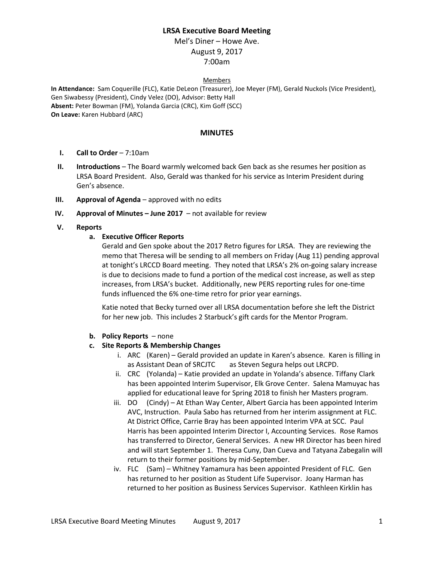# **LRSA Executive Board Meeting**

Mel's Diner – Howe Ave. August 9, 2017 7:00am

#### Members

**In Attendance:** Sam Coquerille (FLC), Katie DeLeon (Treasurer), Joe Meyer (FM), Gerald Nuckols (Vice President), Gen Siwabessy (President), Cindy Velez (DO), Advisor: Betty Hall **Absent:** Peter Bowman (FM), Yolanda Garcia (CRC), Kim Goff (SCC) **On Leave:** Karen Hubbard (ARC)

### **MINUTES**

- **I. Call to Order** 7:10am
- **II. Introductions** The Board warmly welcomed back Gen back as she resumes her position as LRSA Board President. Also, Gerald was thanked for his service as Interim President during Gen's absence.
- **III. Approval of Agenda** approved with no edits
- **IV. Approval of Minutes – June 2017**  not available for review

### **V. Reports**

### **a. Executive Officer Reports**

Gerald and Gen spoke about the 2017 Retro figures for LRSA. They are reviewing the memo that Theresa will be sending to all members on Friday (Aug 11) pending approval at tonight's LRCCD Board meeting. They noted that LRSA's 2% on-going salary increase is due to decisions made to fund a portion of the medical cost increase, as well as step increases, from LRSA's bucket. Additionally, new PERS reporting rules for one-time funds influenced the 6% one-time retro for prior year earnings.

Katie noted that Becky turned over all LRSA documentation before she left the District for her new job. This includes 2 Starbuck's gift cards for the Mentor Program.

#### **b. Policy Reports** – none

#### **c. Site Reports & Membership Changes**

- i. ARC (Karen) Gerald provided an update in Karen's absence. Karen is filling in as Assistant Dean of SRCJTC as Steven Segura helps out LRCPD.
- ii. CRC (Yolanda) Katie provided an update in Yolanda's absence. Tiffany Clark has been appointed Interim Supervisor, Elk Grove Center. Salena Mamuyac has applied for educational leave for Spring 2018 to finish her Masters program.
- iii. DO (Cindy) At Ethan Way Center, Albert Garcia has been appointed Interim AVC, Instruction. Paula Sabo has returned from her interim assignment at FLC. At District Office, Carrie Bray has been appointed Interim VPA at SCC. Paul Harris has been appointed Interim Director I, Accounting Services. Rose Ramos has transferred to Director, General Services. A new HR Director has been hired and will start September 1. Theresa Cuny, Dan Cueva and Tatyana Zabegalin will return to their former positions by mid-September.
- iv. FLC (Sam) Whitney Yamamura has been appointed President of FLC. Gen has returned to her position as Student Life Supervisor. Joany Harman has returned to her position as Business Services Supervisor. Kathleen Kirklin has